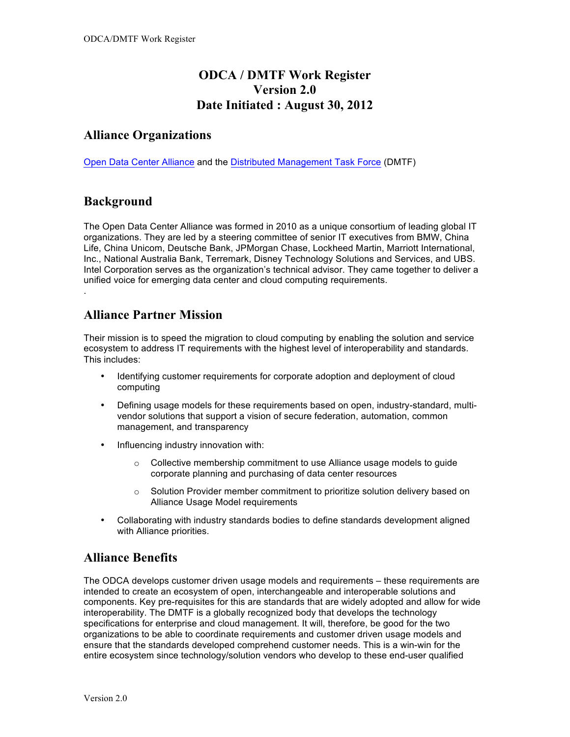# **ODCA / DMTF Work Register Version 2.0 Date Initiated : August 30, 2012**

### **Alliance Organizations**

Open Data Center Alliance and the Distributed Management Task Force (DMTF)

### **Background**

.

The Open Data Center Alliance was formed in 2010 as a unique consortium of leading global IT organizations. They are led by a steering committee of senior IT executives from BMW, China Life, China Unicom, Deutsche Bank, JPMorgan Chase, Lockheed Martin, Marriott International, Inc., National Australia Bank, Terremark, Disney Technology Solutions and Services, and UBS. Intel Corporation serves as the organization's technical advisor. They came together to deliver a unified voice for emerging data center and cloud computing requirements.

#### **Alliance Partner Mission**

Their mission is to speed the migration to cloud computing by enabling the solution and service ecosystem to address IT requirements with the highest level of interoperability and standards. This includes:

- Identifying customer requirements for corporate adoption and deployment of cloud computing
- Defining usage models for these requirements based on open, industry-standard, multivendor solutions that support a vision of secure federation, automation, common management, and transparency
- Influencing industry innovation with:
	- o Collective membership commitment to use Alliance usage models to guide corporate planning and purchasing of data center resources
	- $\circ$  Solution Provider member commitment to prioritize solution delivery based on Alliance Usage Model requirements
- Collaborating with industry standards bodies to define standards development aligned with Alliance priorities.

## **Alliance Benefits**

The ODCA develops customer driven usage models and requirements – these requirements are intended to create an ecosystem of open, interchangeable and interoperable solutions and components. Key pre-requisites for this are standards that are widely adopted and allow for wide interoperability. The DMTF is a globally recognized body that develops the technology specifications for enterprise and cloud management. It will, therefore, be good for the two organizations to be able to coordinate requirements and customer driven usage models and ensure that the standards developed comprehend customer needs. This is a win-win for the entire ecosystem since technology/solution vendors who develop to these end-user qualified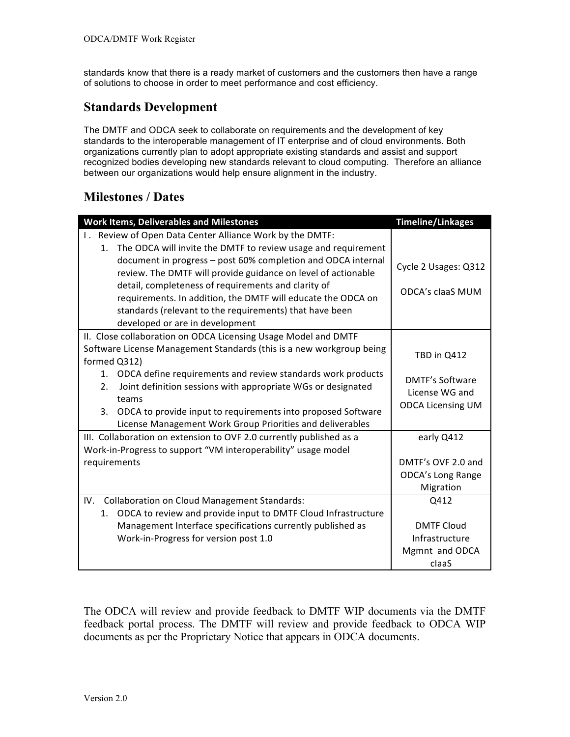standards know that there is a ready market of customers and the customers then have a range of solutions to choose in order to meet performance and cost efficiency.

# **Standards Development**

The DMTF and ODCA seek to collaborate on requirements and the development of key standards to the interoperable management of IT enterprise and of cloud environments. Both organizations currently plan to adopt appropriate existing standards and assist and support recognized bodies developing new standards relevant to cloud computing. Therefore an alliance between our organizations would help ensure alignment in the industry.

# **Milestones / Dates**

| <b>Work Items, Deliverables and Milestones</b>                                                                                | <b>Timeline/Linkages</b> |
|-------------------------------------------------------------------------------------------------------------------------------|--------------------------|
| I. Review of Open Data Center Alliance Work by the DMTF:                                                                      |                          |
| 1. The ODCA will invite the DMTF to review usage and requirement                                                              |                          |
| document in progress - post 60% completion and ODCA internal<br>review. The DMTF will provide guidance on level of actionable | Cycle 2 Usages: Q312     |
| detail, completeness of requirements and clarity of<br>requirements. In addition, the DMTF will educate the ODCA on           | <b>ODCA's claaS MUM</b>  |
| standards (relevant to the requirements) that have been                                                                       |                          |
| developed or are in development                                                                                               |                          |
| II. Close collaboration on ODCA Licensing Usage Model and DMTF                                                                |                          |
| Software License Management Standards (this is a new workgroup being<br>formed Q312)                                          | TBD in Q412              |
| 1. ODCA define requirements and review standards work products                                                                | <b>DMTF's Software</b>   |
| Joint definition sessions with appropriate WGs or designated<br>2.<br>teams                                                   | License WG and           |
| 3. ODCA to provide input to requirements into proposed Software                                                               | <b>ODCA Licensing UM</b> |
| License Management Work Group Priorities and deliverables                                                                     |                          |
| III. Collaboration on extension to OVF 2.0 currently published as a                                                           | early Q412               |
| Work-in-Progress to support "VM interoperability" usage model                                                                 |                          |
| requirements                                                                                                                  | DMTF's OVF 2.0 and       |
|                                                                                                                               | <b>ODCA's Long Range</b> |
|                                                                                                                               | Migration                |
| <b>Collaboration on Cloud Management Standards:</b><br>IV.                                                                    | Q412                     |
| ODCA to review and provide input to DMTF Cloud Infrastructure<br>1.                                                           |                          |
| Management Interface specifications currently published as                                                                    | <b>DMTF Cloud</b>        |
| Work-in-Progress for version post 1.0                                                                                         | Infrastructure           |
|                                                                                                                               | Mgmnt and ODCA           |
|                                                                                                                               | claaS                    |

The ODCA will review and provide feedback to DMTF WIP documents via the DMTF feedback portal process. The DMTF will review and provide feedback to ODCA WIP documents as per the Proprietary Notice that appears in ODCA documents.